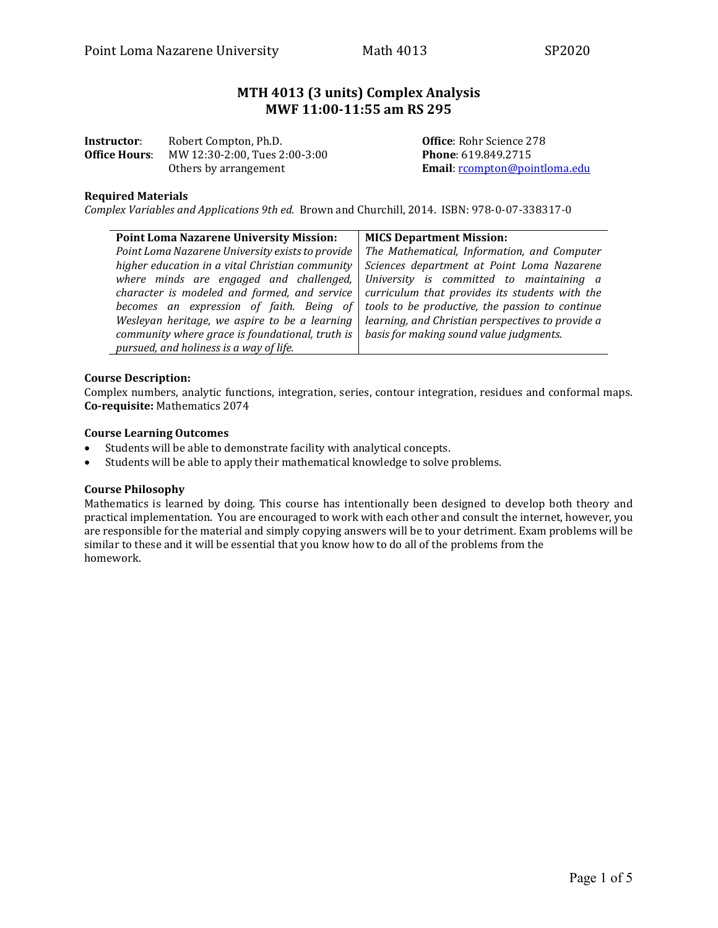# **MTH 4013 (3 units) Complex Analysis MWF 11:00-11:55 am RS 295**

| Instructor:          | Robert Compton, Ph.D.         |
|----------------------|-------------------------------|
| <b>Office Hours:</b> | MW 12:30-2:00, Tues 2:00-3:00 |
|                      | Others by arrangement         |

**Office: Rohr Science 278 Phone**: 619.849.2715 Others by arrangement **Email**: [rcompton@pointloma.edu](mailto:rcompton@pointloma.edu)

# **Required Materials**

*Complex Variables and Applications 9th ed.* Brown and Churchill, 2014. ISBN: 978-0-07-338317-0

| <b>Point Loma Nazarene University Mission:</b>   | <b>MICS Department Mission:</b>                   |  |
|--------------------------------------------------|---------------------------------------------------|--|
| Point Loma Nazarene University exists to provide | The Mathematical, Information, and Computer       |  |
| higher education in a vital Christian community  | Sciences department at Point Loma Nazarene        |  |
| where minds are engaged and challenged,          | University is committed to maintaining a          |  |
| character is modeled and formed, and service     | curriculum that provides its students with the    |  |
| becomes an expression of faith. Being of         | tools to be productive, the passion to continue   |  |
| Wesleyan heritage, we aspire to be a learning    | learning, and Christian perspectives to provide a |  |
| community where grace is foundational, truth is  | basis for making sound value judgments.           |  |
| pursued, and holiness is a way of life.          |                                                   |  |

## **Course Description:**

Complex numbers, analytic functions, integration, series, contour integration, residues and conformal maps. **Co-requisite:** Mathematics 2074

#### **Course Learning Outcomes**

- Students will be able to demonstrate facility with analytical concepts.<br>• Students will be able to annly their mathematical knowledge to solve i
- Students will be able to apply their mathematical knowledge to solve problems.

## **Course Philosophy**

Mathematics is learned by doing. This course has intentionally been designed to develop both theory and practical implementation. You are encouraged to work with each other and consult the internet, however, you are responsible for the material and simply copying answers will be to your detriment. Exam problems will be similar to these and it will be essential that you know how to do all of the problems from the homework.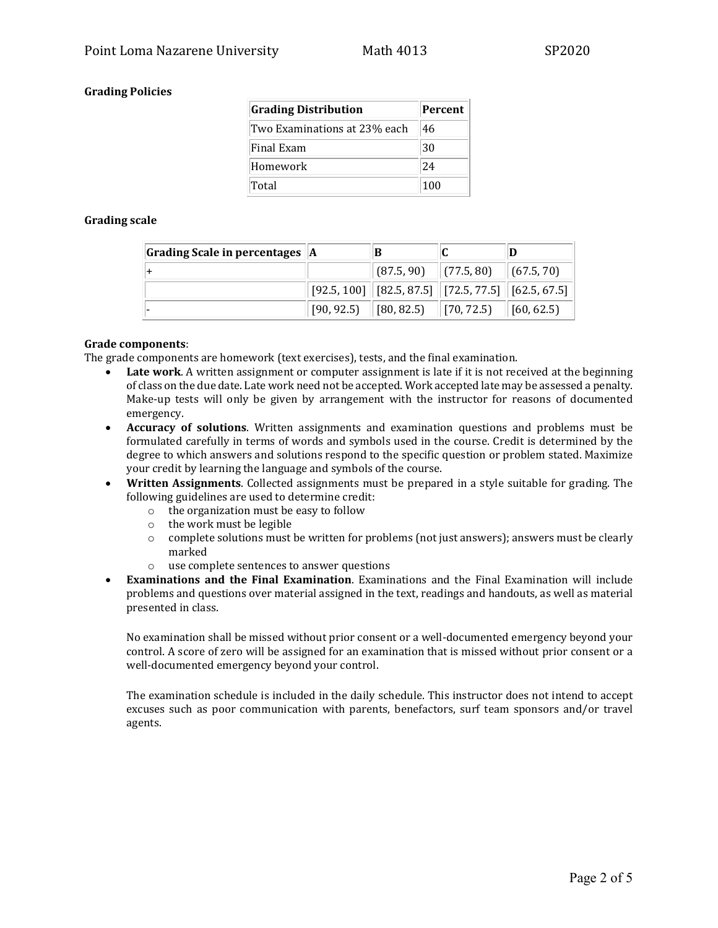# **Grading Policies**

| <b>Grading Distribution</b>  | Percent |
|------------------------------|---------|
| Two Examinations at 23% each | 46      |
| Final Exam                   | 30      |
| Homework                     | 24      |
| Total                        | 100     |

## **Grading scale**

| Grading Scale in percentages $ A $ |                                                                                |  |
|------------------------------------|--------------------------------------------------------------------------------|--|
|                                    | $\parallel$ (87.5, 90) $\parallel$ (77.5, 80) $\parallel$ (67.5, 70)           |  |
|                                    | $\mid$ [92.5, 100] $\mid$ [82.5, 87.5] $\mid$ [72.5, 77.5] $\mid$ [62.5, 67.5] |  |
|                                    | $\mid$ [90, 92.5) $\mid$ [80, 82.5) $\mid$ [70, 72.5) $\mid$ [60, 62.5)        |  |

#### **Grade components**:

The grade components are homework (text exercises), tests, and the final examination.

- **Late work**. A written assignment or computer assignment is late if it is not received at the beginning of class on the due date. Late work need not be accepted. Work accepted late may be assessed a penalty. Make-up tests will only be given by arrangement with the instructor for reasons of documented emergency.
- **Accuracy of solutions**. Written assignments and examination questions and problems must be formulated carefully in terms of words and symbols used in the course. Credit is determined by the degree to which answers and solutions respond to the specific question or problem stated. Maximize your credit by learning the language and symbols of the course.
- **Written Assignments**. Collected assignments must be prepared in a style suitable for grading. The following guidelines are used to determine credit:
	- $\circ$  the organization must be easy to follow  $\circ$  the work must be legible
	- $\circ$  the work must be legible<br> $\circ$  complete solutions must l
	- complete solutions must be written for problems (not just answers); answers must be clearly marked
	- o use complete sentences to answer questions
- **Examinations and the Final Examination**. Examinations and the Final Examination will include problems and questions over material assigned in the text, readings and handouts, as well as material presented in class.

No examination shall be missed without prior consent or a well-documented emergency beyond your control. A score of zero will be assigned for an examination that is missed without prior consent or a well-documented emergency beyond your control.

The examination schedule is included in the daily schedule. This instructor does not intend to accept excuses such as poor communication with parents, benefactors, surf team sponsors and/or travel agents.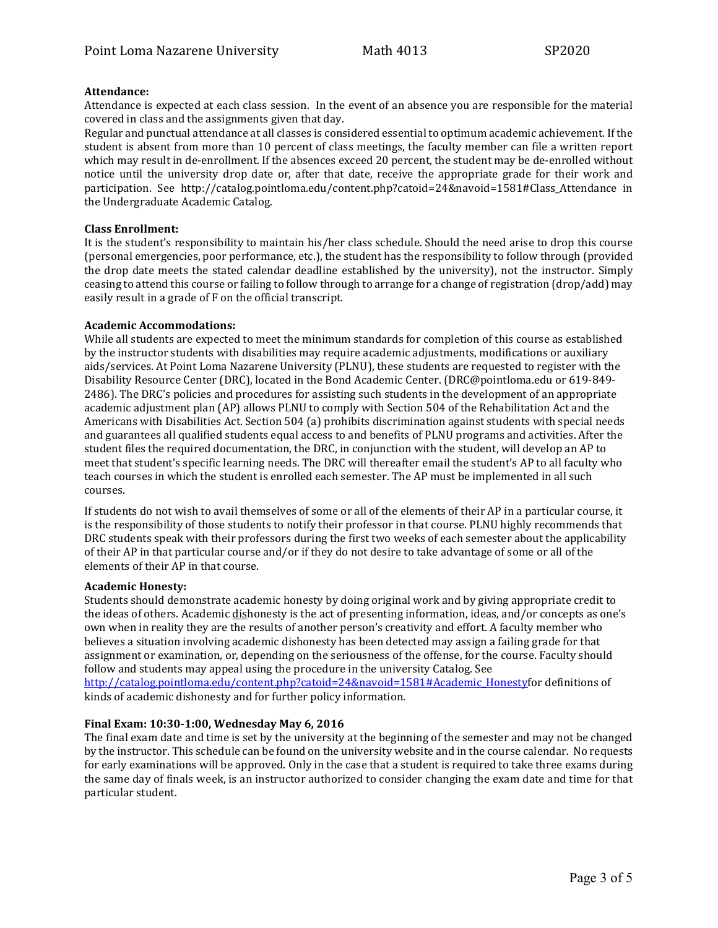## **Attendance:**

Attendance is expected at each class session. In the event of an absence you are responsible for the material covered in class and the assignments given that day.

Regular and punctual attendance at all classes is considered essential to optimum academic achievement. If the student is absent from more than 10 percent of class meetings, the faculty member can file a written report which may result in de-enrollment. If the absences exceed 20 percent, the student may be de-enrolled without notice until the university drop date or, after that date, receive the appropriate grade for their work and participation. See http://catalog.pointloma.edu/content.php?catoid=24&navoid=1581#Class\_Attendance in the Undergraduate Academic Catalog.

#### **Class Enrollment:**

It is the student's responsibility to maintain his/her class schedule. Should the need arise to drop this course (personal emergencies, poor performance, etc.), the student has the responsibility to follow through (provided the drop date meets the stated calendar deadline established by the university), not the instructor. Simply ceasing to attend this course or failing to follow through to arrange for a change of registration (drop/add) may easily result in a grade of F on the official transcript.

## **Academic Accommodations:**

While all students are expected to meet the minimum standards for completion of this course as established by the instructor students with disabilities may require academic adjustments, modifications or auxiliary aids/services. At Point Loma Nazarene University (PLNU), these students are requested to register with the Disability Resource Center (DRC), located in the Bond Academic Center. (DRC@pointloma.edu or 619-849- 2486). The DRC's policies and procedures for assisting such students in the development of an appropriate academic adjustment plan (AP) allows PLNU to comply with Section 504 of the Rehabilitation Act and the Americans with Disabilities Act. Section 504 (a) prohibits discrimination against students with special needs and guarantees all qualified students equal access to and benefits of PLNU programs and activities. After the student files the required documentation, the DRC, in conjunction with the student, will develop an AP to meet that student's specific learning needs. The DRC will thereafter email the student's AP to all faculty who teach courses in which the student is enrolled each semester. The AP must be implemented in all such courses.

If students do not wish to avail themselves of some or all of the elements of their AP in a particular course, it is the responsibility of those students to notify their professor in that course. PLNU highly recommends that DRC students speak with their professors during the first two weeks of each semester about the applicability of their AP in that particular course and/or if they do not desire to take advantage of some or all of the elements of their AP in that course.

## **Academic Honesty:**

Students should demonstrate academic honesty by doing original work and by giving appropriate credit to the ideas of others. Academic dishonesty is the act of presenting information, ideas, and/or concepts as one's own when in reality they are the results of another person's creativity and effort. A faculty member who believes a situation involving academic dishonesty has been detected may assign a failing grade for that assignment or examination, or, depending on the seriousness of the offense, for the course. Faculty should follow and students may appeal using the procedure in the university Catalog. See [http://catalog.pointloma.edu/content.php?catoid=24&navoid=1581#Academic\\_Honestyf](http://catalog.pointloma.edu/content.php?catoid=24&navoid=1581#Academic_Honesty)or definitions of kinds of academic dishonesty and for further policy information.

## **Final Exam: 10:30-1:00, Wednesday May 6, 2016**

The final exam date and time is set by the university at the beginning of the semester and may not be changed by the instructor. This schedule can be found on the university website and in the course calendar. No requests for early examinations will be approved. Only in the case that a student is required to take three exams during the same day of finals week, is an instructor authorized to consider changing the exam date and time for that particular student.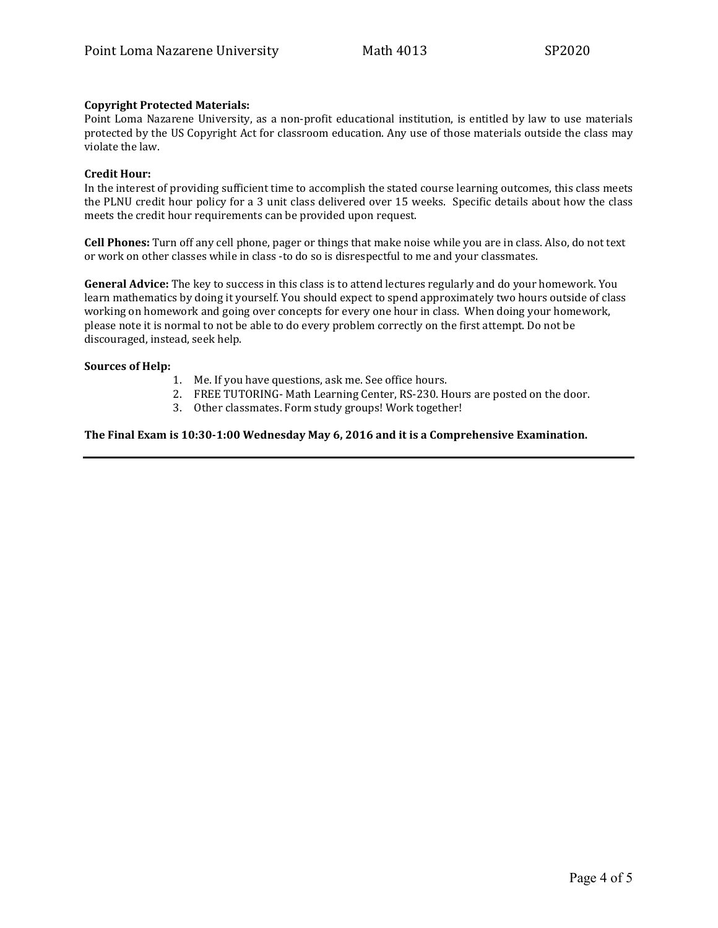# **Copyright Protected Materials:**

Point Loma Nazarene University, as a non-profit educational institution, is entitled by law to use materials protected by the US Copyright Act for classroom education. Any use of those materials outside the class may violate the law.

## **Credit Hour:**

In the interest of providing sufficient time to accomplish the stated course learning outcomes, this class meets the PLNU credit hour policy for a 3 unit class delivered over 15 weeks. Specific details about how the class meets the credit hour requirements can be provided upon request.

**Cell Phones:** Turn off any cell phone, pager or things that make noise while you are in class. Also, do not text or work on other classes while in class -to do so is disrespectful to me and your classmates.

**General Advice:** The key to success in this class is to attend lectures regularly and do your homework. You learn mathematics by doing it yourself. You should expect to spend approximately two hours outside of class working on homework and going over concepts for every one hour in class. When doing your homework, please note it is normal to not be able to do every problem correctly on the first attempt. Do not be discouraged, instead, seek help.

## **Sources of Help:**

- 1. Me. If you have questions, ask me. See office hours.
- 2. FREE TUTORING- Math Learning Center, RS-230. Hours are posted on the door.
- 3. Other classmates. Form study groups! Work together!

# **The Final Exam is 10:30-1:00 Wednesday May 6, 2016 and it is a Comprehensive Examination.**